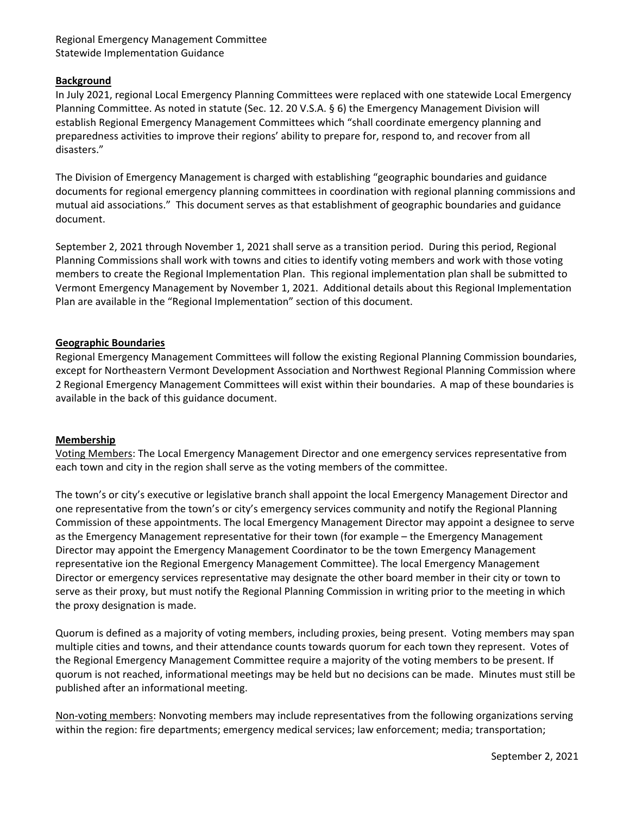# Regional Emergency Management Committee Statewide Implementation Guidance

### **Background**

In July 2021, regional Local Emergency Planning Committees were replaced with one statewide Local Emergency Planning Committee. As noted in statute (Sec. 12. 20 V.S.A. § 6) the Emergency Management Division will establish Regional Emergency Management Committees which "shall coordinate emergency planning and preparedness activities to improve their regions' ability to prepare for, respond to, and recover from all disasters."

The Division of Emergency Management is charged with establishing "geographic boundaries and guidance documents for regional emergency planning committees in coordination with regional planning commissions and mutual aid associations." This document serves as that establishment of geographic boundaries and guidance document.

September 2, 2021 through November 1, 2021 shall serve as a transition period. During this period, Regional Planning Commissions shall work with towns and cities to identify voting members and work with those voting members to create the Regional Implementation Plan. This regional implementation plan shall be submitted to Vermont Emergency Management by November 1, 2021. Additional details about this Regional Implementation Plan are available in the "Regional Implementation" section of this document.

#### **Geographic Boundaries**

Regional Emergency Management Committees will follow the existing Regional Planning Commission boundaries, except for Northeastern Vermont Development Association and Northwest Regional Planning Commission where 2 Regional Emergency Management Committees will exist within their boundaries. A map of these boundaries is available in the back of this guidance document.

#### **Membership**

Voting Members: The Local Emergency Management Director and one emergency services representative from each town and city in the region shall serve as the voting members of the committee.

The town's or city's executive or legislative branch shall appoint the local Emergency Management Director and one representative from the town's or city's emergency services community and notify the Regional Planning Commission of these appointments. The local Emergency Management Director may appoint a designee to serve as the Emergency Management representative for their town (for example – the Emergency Management Director may appoint the Emergency Management Coordinator to be the town Emergency Management representative ion the Regional Emergency Management Committee). The local Emergency Management Director or emergency services representative may designate the other board member in their city or town to serve as their proxy, but must notify the Regional Planning Commission in writing prior to the meeting in which the proxy designation is made.

Quorum is defined as a majority of voting members, including proxies, being present. Voting members may span multiple cities and towns, and their attendance counts towards quorum for each town they represent. Votes of the Regional Emergency Management Committee require a majority of the voting members to be present. If quorum is not reached, informational meetings may be held but no decisions can be made. Minutes must still be published after an informational meeting.

Non-voting members: Nonvoting members may include representatives from the following organizations serving within the region: fire departments; emergency medical services; law enforcement; media; transportation;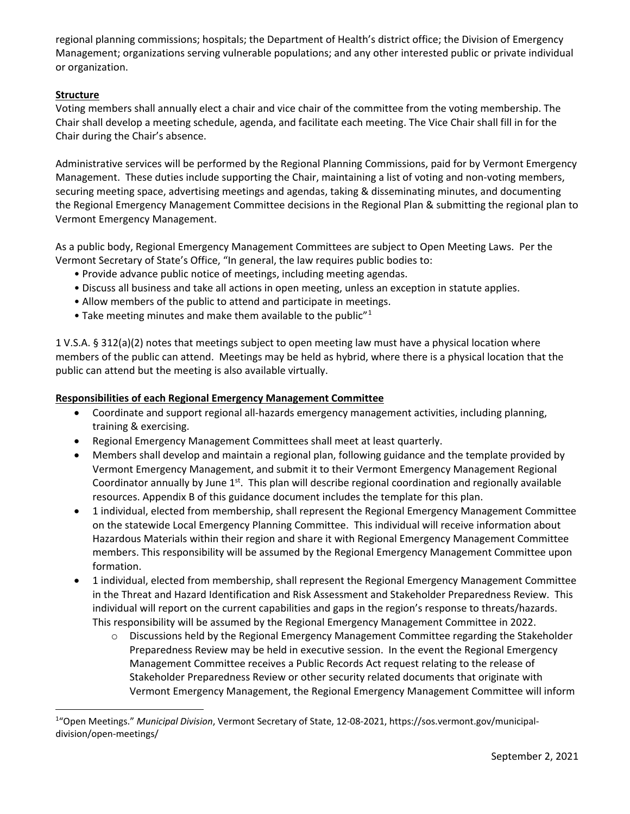regional planning commissions; hospitals; the Department of Health's district office; the Division of Emergency Management; organizations serving vulnerable populations; and any other interested public or private individual or organization.

# **Structure**

Voting members shall annually elect a chair and vice chair of the committee from the voting membership. The Chair shall develop a meeting schedule, agenda, and facilitate each meeting. The Vice Chair shall fill in for the Chair during the Chair's absence.

Administrative services will be performed by the Regional Planning Commissions, paid for by Vermont Emergency Management. These duties include supporting the Chair, maintaining a list of voting and non-voting members, securing meeting space, advertising meetings and agendas, taking & disseminating minutes, and documenting the Regional Emergency Management Committee decisions in the Regional Plan & submitting the regional plan to Vermont Emergency Management.

As a public body, Regional Emergency Management Committees are subject to Open Meeting Laws. Per the Vermont Secretary of State's Office, "In general, the law requires public bodies to:

- Provide advance public notice of meetings, including meeting agendas.
- Discuss all business and take all actions in open meeting, unless an exception in statute applies.
- Allow members of the public to attend and participate in meetings.
- Take meeting minutes and make them available to the public" $1$

1 V.S.A. § 312(a)(2) notes that meetings subject to open meeting law must have a physical location where members of the public can attend. Meetings may be held as hybrid, where there is a physical location that the public can attend but the meeting is also available virtually.

### **Responsibilities of each Regional Emergency Management Committee**

- Coordinate and support regional all-hazards emergency management activities, including planning, training & exercising.
- Regional Emergency Management Committees shall meet at least quarterly.
- Members shall develop and maintain a regional plan, following guidance and the template provided by Vermont Emergency Management, and submit it to their Vermont Emergency Management Regional Coordinator annually by June  $1<sup>st</sup>$ . This plan will describe regional coordination and regionally available resources. Appendix B of this guidance document includes the template for this plan.
- 1 individual, elected from membership, shall represent the Regional Emergency Management Committee on the statewide Local Emergency Planning Committee. This individual will receive information about Hazardous Materials within their region and share it with Regional Emergency Management Committee members. This responsibility will be assumed by the Regional Emergency Management Committee upon formation.
- 1 individual, elected from membership, shall represent the Regional Emergency Management Committee in the Threat and Hazard Identification and Risk Assessment and Stakeholder Preparedness Review. This individual will report on the current capabilities and gaps in the region's response to threats/hazards. This responsibility will be assumed by the Regional Emergency Management Committee in 2022.
	- o Discussions held by the Regional Emergency Management Committee regarding the Stakeholder Preparedness Review may be held in executive session. In the event the Regional Emergency Management Committee receives a Public Records Act request relating to the release of Stakeholder Preparedness Review or other security related documents that originate with Vermont Emergency Management, the Regional Emergency Management Committee will inform

<span id="page-1-0"></span><sup>1</sup> "Open Meetings." *Municipal Division*, Vermont Secretary of State, 12-08-2021, https://sos.vermont.gov/municipaldivision/open-meetings/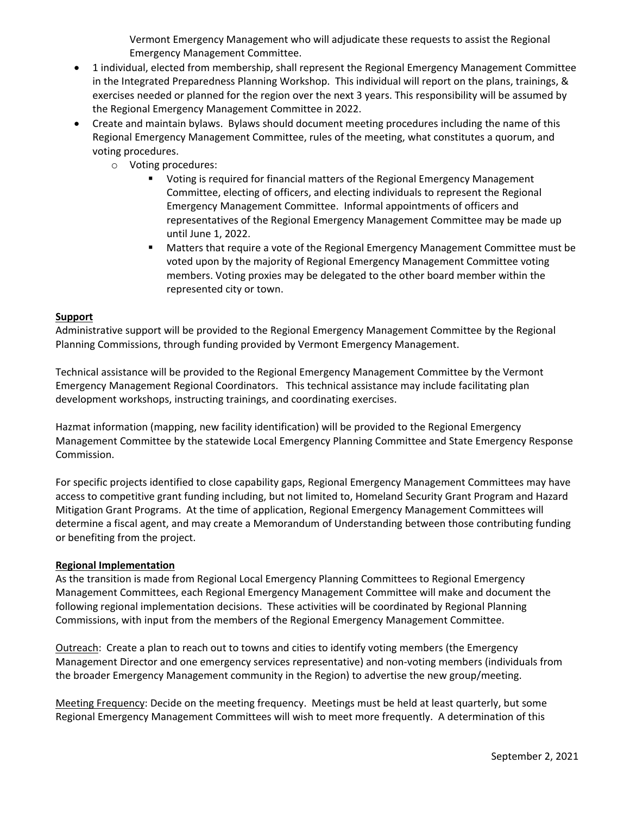Vermont Emergency Management who will adjudicate these requests to assist the Regional Emergency Management Committee.

- 1 individual, elected from membership, shall represent the Regional Emergency Management Committee in the Integrated Preparedness Planning Workshop. This individual will report on the plans, trainings, & exercises needed or planned for the region over the next 3 years. This responsibility will be assumed by the Regional Emergency Management Committee in 2022.
- Create and maintain bylaws. Bylaws should document meeting procedures including the name of this Regional Emergency Management Committee, rules of the meeting, what constitutes a quorum, and voting procedures.
	- o Voting procedures:
		- Voting is required for financial matters of the Regional Emergency Management Committee, electing of officers, and electing individuals to represent the Regional Emergency Management Committee. Informal appointments of officers and representatives of the Regional Emergency Management Committee may be made up until June 1, 2022.
		- Matters that require a vote of the Regional Emergency Management Committee must be voted upon by the majority of Regional Emergency Management Committee voting members. Voting proxies may be delegated to the other board member within the represented city or town.

### **Support**

Administrative support will be provided to the Regional Emergency Management Committee by the Regional Planning Commissions, through funding provided by Vermont Emergency Management.

Technical assistance will be provided to the Regional Emergency Management Committee by the Vermont Emergency Management Regional Coordinators. This technical assistance may include facilitating plan development workshops, instructing trainings, and coordinating exercises.

Hazmat information (mapping, new facility identification) will be provided to the Regional Emergency Management Committee by the statewide Local Emergency Planning Committee and State Emergency Response Commission.

For specific projects identified to close capability gaps, Regional Emergency Management Committees may have access to competitive grant funding including, but not limited to, Homeland Security Grant Program and Hazard Mitigation Grant Programs. At the time of application, Regional Emergency Management Committees will determine a fiscal agent, and may create a Memorandum of Understanding between those contributing funding or benefiting from the project.

## **Regional Implementation**

As the transition is made from Regional Local Emergency Planning Committees to Regional Emergency Management Committees, each Regional Emergency Management Committee will make and document the following regional implementation decisions. These activities will be coordinated by Regional Planning Commissions, with input from the members of the Regional Emergency Management Committee.

Outreach: Create a plan to reach out to towns and cities to identify voting members (the Emergency Management Director and one emergency services representative) and non-voting members (individuals from the broader Emergency Management community in the Region) to advertise the new group/meeting.

Meeting Frequency: Decide on the meeting frequency. Meetings must be held at least quarterly, but some Regional Emergency Management Committees will wish to meet more frequently. A determination of this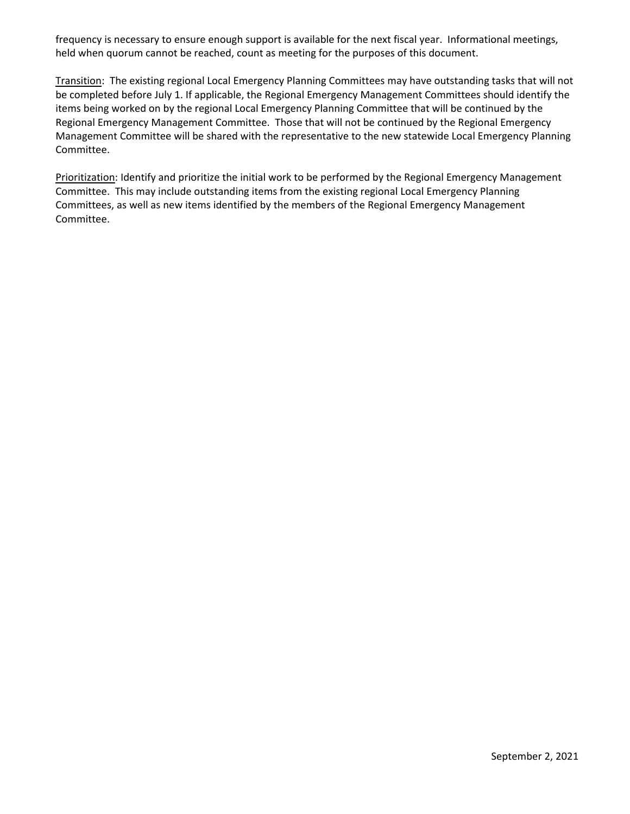frequency is necessary to ensure enough support is available for the next fiscal year. Informational meetings, held when quorum cannot be reached, count as meeting for the purposes of this document.

Transition: The existing regional Local Emergency Planning Committees may have outstanding tasks that will not be completed before July 1. If applicable, the Regional Emergency Management Committees should identify the items being worked on by the regional Local Emergency Planning Committee that will be continued by the Regional Emergency Management Committee. Those that will not be continued by the Regional Emergency Management Committee will be shared with the representative to the new statewide Local Emergency Planning Committee.

Prioritization: Identify and prioritize the initial work to be performed by the Regional Emergency Management Committee. This may include outstanding items from the existing regional Local Emergency Planning Committees, as well as new items identified by the members of the Regional Emergency Management Committee.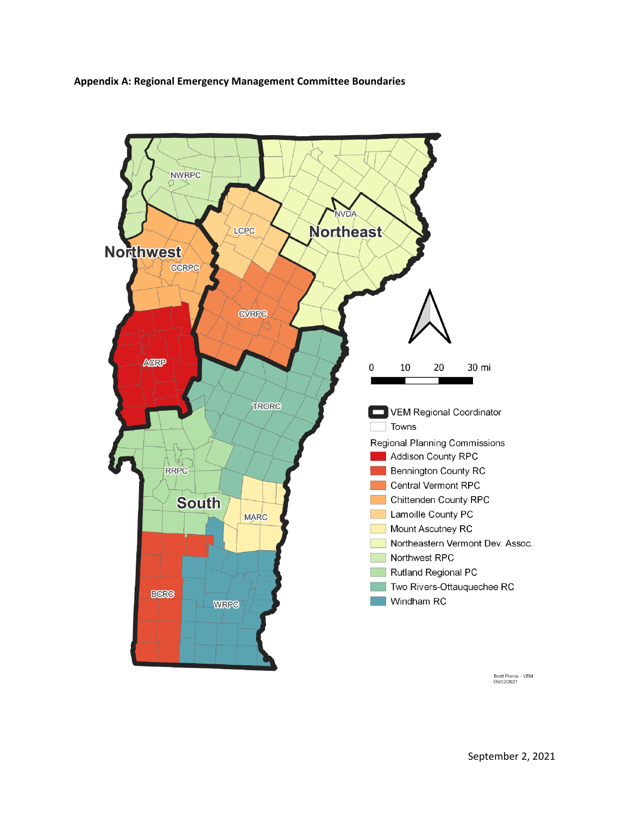



Brett Pierce - VEM<br>09/02/2021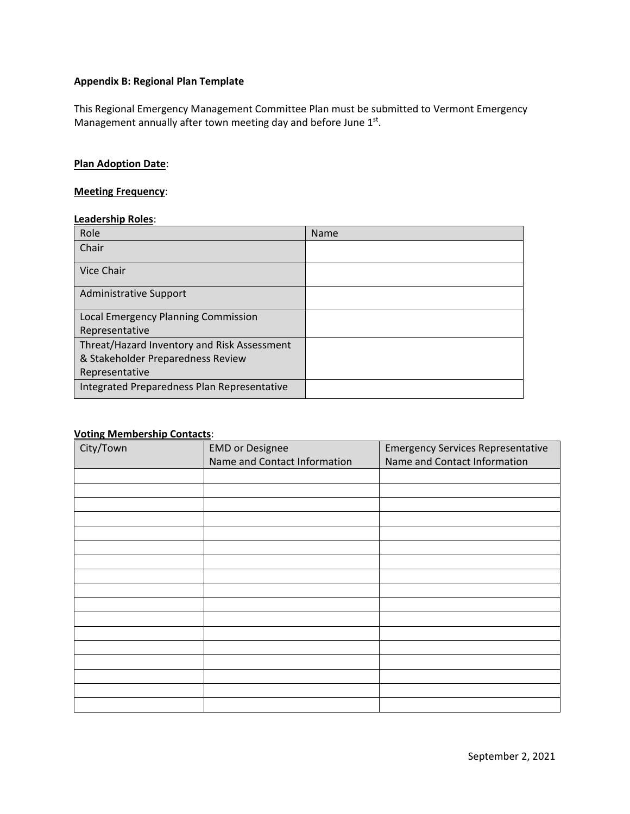## **Appendix B: Regional Plan Template**

This Regional Emergency Management Committee Plan must be submitted to Vermont Emergency Management annually after town meeting day and before June 1st.

# **Plan Adoption Date**:

#### **Meeting Frequency**:

### **Leadership Roles**:

| Role                                        | Name |
|---------------------------------------------|------|
| Chair                                       |      |
| <b>Vice Chair</b>                           |      |
| <b>Administrative Support</b>               |      |
| Local Emergency Planning Commission         |      |
| Representative                              |      |
| Threat/Hazard Inventory and Risk Assessment |      |
| & Stakeholder Preparedness Review           |      |
| Representative                              |      |
| Integrated Preparedness Plan Representative |      |

# **Voting Membership Contacts**:

| City/Town | <b>EMD</b> or Designee<br>Name and Contact Information | <b>Emergency Services Representative</b><br>Name and Contact Information |
|-----------|--------------------------------------------------------|--------------------------------------------------------------------------|
|           |                                                        |                                                                          |
|           |                                                        |                                                                          |
|           |                                                        |                                                                          |
|           |                                                        |                                                                          |
|           |                                                        |                                                                          |
|           |                                                        |                                                                          |
|           |                                                        |                                                                          |
|           |                                                        |                                                                          |
|           |                                                        |                                                                          |
|           |                                                        |                                                                          |
|           |                                                        |                                                                          |
|           |                                                        |                                                                          |
|           |                                                        |                                                                          |
|           |                                                        |                                                                          |
|           |                                                        |                                                                          |
|           |                                                        |                                                                          |
|           |                                                        |                                                                          |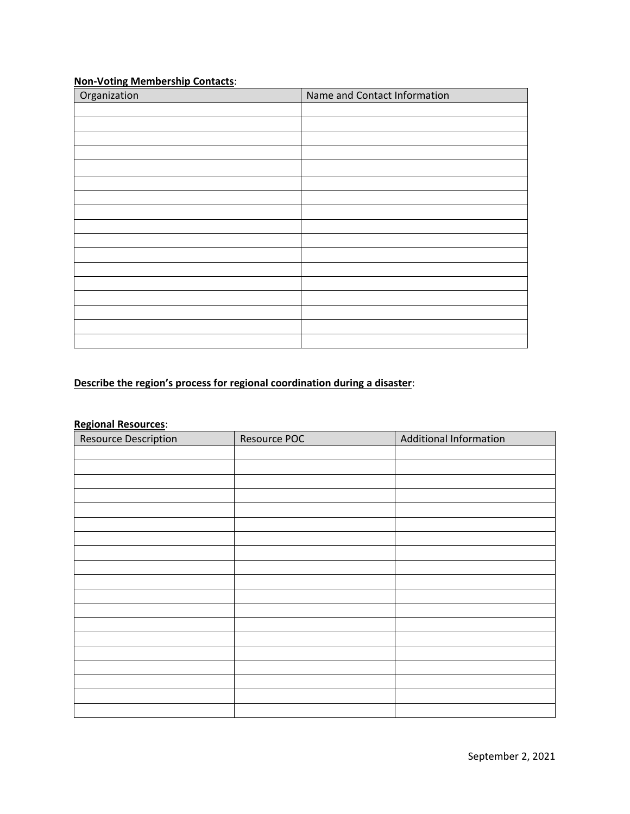# **Non-Voting Membership Contacts**:

| Organization | Name and Contact Information |
|--------------|------------------------------|
|              |                              |
|              |                              |
|              |                              |
|              |                              |
|              |                              |
|              |                              |
|              |                              |
|              |                              |
|              |                              |
|              |                              |
|              |                              |
|              |                              |
|              |                              |
|              |                              |
|              |                              |
|              |                              |
|              |                              |

# **Describe the region's process for regional coordination during a disaster**:

# **Regional Resources**:

| <b>Resource Description</b> | Resource POC | <b>Additional Information</b> |
|-----------------------------|--------------|-------------------------------|
|                             |              |                               |
|                             |              |                               |
|                             |              |                               |
|                             |              |                               |
|                             |              |                               |
|                             |              |                               |
|                             |              |                               |
|                             |              |                               |
|                             |              |                               |
|                             |              |                               |
|                             |              |                               |
|                             |              |                               |
|                             |              |                               |
|                             |              |                               |
|                             |              |                               |
|                             |              |                               |
|                             |              |                               |
|                             |              |                               |
|                             |              |                               |